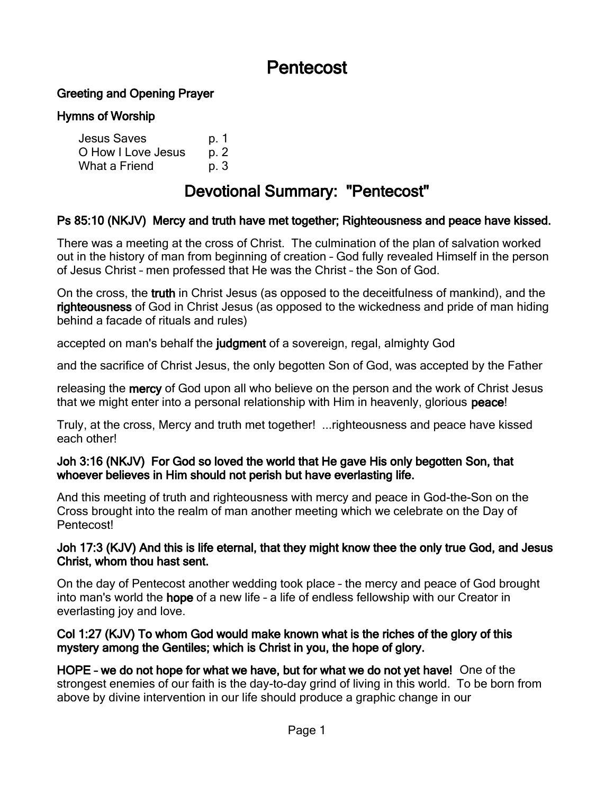# Pentecost

### Greeting and Opening Prayer

#### Hymns of Worship

| <b>Jesus Saves</b> | p. 1 |
|--------------------|------|
| O How I Love Jesus | p. 2 |
| What a Friend      | p. 3 |

# Devotional Summary: "Pentecost"

### Ps 85:10 (NKJV) Mercy and truth have met together; Righteousness and peace have kissed.

There was a meeting at the cross of Christ. The culmination of the plan of salvation worked out in the history of man from beginning of creation – God fully revealed Himself in the person of Jesus Christ – men professed that He was the Christ – the Son of God.

On the cross, the truth in Christ Jesus (as opposed to the deceitfulness of mankind), and the righteousness of God in Christ Jesus (as opposed to the wickedness and pride of man hiding behind a facade of rituals and rules)

accepted on man's behalf the judgment of a sovereign, regal, almighty God

and the sacrifice of Christ Jesus, the only begotten Son of God, was accepted by the Father

releasing the **mercy** of God upon all who believe on the person and the work of Christ Jesus that we might enter into a personal relationship with Him in heavenly, glorious peace!

Truly, at the cross, Mercy and truth met together! ...righteousness and peace have kissed each other!

#### Joh 3:16 (NKJV) For God so loved the world that He gave His only begotten Son, that whoever believes in Him should not perish but have everlasting life.

And this meeting of truth and righteousness with mercy and peace in God-the-Son on the Cross brought into the realm of man another meeting which we celebrate on the Day of Pentecost!

#### Joh 17:3 (KJV) And this is life eternal, that they might know thee the only true God, and Jesus Christ, whom thou hast sent.

On the day of Pentecost another wedding took place – the mercy and peace of God brought into man's world the hope of a new life – a life of endless fellowship with our Creator in everlasting joy and love.

#### Col 1:27 (KJV) To whom God would make known what is the riches of the glory of this mystery among the Gentiles; which is Christ in you, the hope of glory.

HOPE – we do not hope for what we have, but for what we do not yet have! One of the strongest enemies of our faith is the day-to-day grind of living in this world. To be born from above by divine intervention in our life should produce a graphic change in our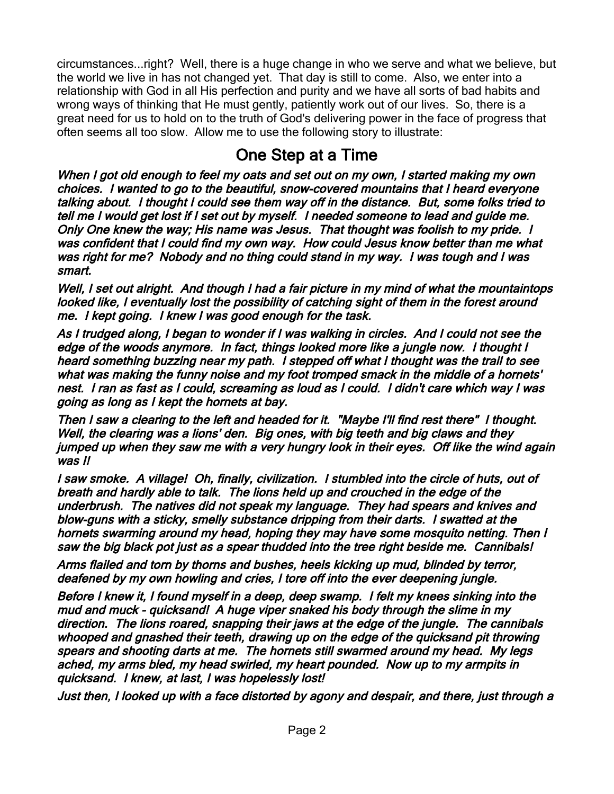circumstances...right? Well, there is a huge change in who we serve and what we believe, but the world we live in has not changed yet. That day is still to come. Also, we enter into a relationship with God in all His perfection and purity and we have all sorts of bad habits and wrong ways of thinking that He must gently, patiently work out of our lives. So, there is a great need for us to hold on to the truth of God's delivering power in the face of progress that often seems all too slow. Allow me to use the following story to illustrate:

## One Step at a Time

When I got old enough to feel my oats and set out on my own, I started making my own choices. I wanted to go to the beautiful, snow-covered mountains that I heard everyone talking about. I thought I could see them way off in the distance. But, some folks tried to tell me I would get lost if I set out by myself. I needed someone to lead and guide me. Only One knew the way; His name was Jesus. That thought was foolish to my pride. I was confident that I could find my own way. How could Jesus know better than me what was right for me? Nobody and no thing could stand in my way. I was tough and I was smart.

Well, I set out alright. And though I had a fair picture in my mind of what the mountaintops looked like, I eventually lost the possibility of catching sight of them in the forest around me. I kept going. I knew I was good enough for the task.

As I trudged along, I began to wonder if I was walking in circles. And I could not see the edge of the woods anymore. In fact, things looked more like a jungle now. I thought I heard something buzzing near my path. I stepped off what I thought was the trail to see what was making the funny noise and my foot tromped smack in the middle of a hornets' nest. I ran as fast as I could, screaming as loud as I could. I didn't care which way I was going as long as I kept the hornets at bay.

Then I saw a clearing to the left and headed for it. "Maybe I'll find rest there" I thought. Well, the clearing was a lions' den. Big ones, with big teeth and big claws and they jumped up when they saw me with a very hungry look in their eyes. Off like the wind again was I!

I saw smoke. A village! Oh, finally, civilization. I stumbled into the circle of huts, out of breath and hardly able to talk. The lions held up and crouched in the edge of the underbrush. The natives did not speak my language. They had spears and knives and blow-guns with a sticky, smelly substance dripping from their darts. I swatted at the hornets swarming around my head, hoping they may have some mosquito netting. Then I saw the big black pot just as a spear thudded into the tree right beside me. Cannibals!

Arms flailed and torn by thorns and bushes, heels kicking up mud, blinded by terror, deafened by my own howling and cries, I tore off into the ever deepening jungle.

Before I knew it, I found myself in a deep, deep swamp. I felt my knees sinking into the mud and muck - quicksand! A huge viper snaked his body through the slime in my direction. The lions roared, snapping their jaws at the edge of the jungle. The cannibals whooped and gnashed their teeth, drawing up on the edge of the quicksand pit throwing spears and shooting darts at me. The hornets still swarmed around my head. My legs ached, my arms bled, my head swirled, my heart pounded. Now up to my armpits in quicksand. I knew, at last, I was hopelessly lost!

Just then, I looked up with a face distorted by agony and despair, and there, just through a